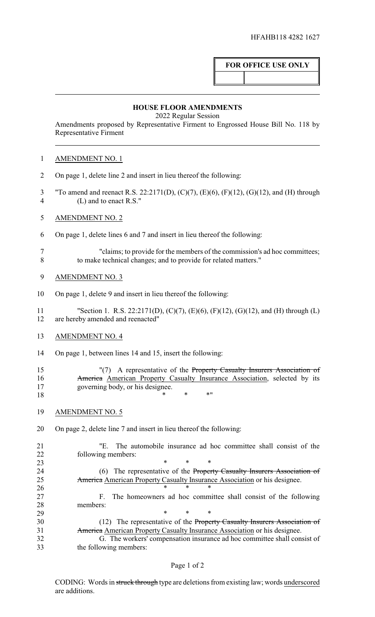## **FOR OFFICE USE ONLY**

## **HOUSE FLOOR AMENDMENTS**

2022 Regular Session

Amendments proposed by Representative Firment to Engrossed House Bill No. 118 by Representative Firment

| <b>AMENDMENT NO. 1</b> |
|------------------------|
|------------------------|

- On page 1, delete line 2 and insert in lieu thereof the following:
- "To amend and reenact R.S. 22:2171(D), (C)(7), (E)(6), (F)(12), (G)(12), and (H) through (L) and to enact R.S."
- AMENDMENT NO. 2
- On page 1, delete lines 6 and 7 and insert in lieu thereof the following:
- "claims; to provide for the members of the commission's ad hoc committees; to make technical changes; and to provide for related matters."
- AMENDMENT NO. 3
- On page 1, delete 9 and insert in lieu thereof the following:
- "Section 1. R.S. 22:2171(D), (C)(7), (E)(6), (F)(12), (G)(12), and (H) through (L) are hereby amended and reenacted"
- AMENDMENT NO. 4
- On page 1, between lines 14 and 15, insert the following:
- "(7) A representative of the Property Casualty Insurers Association of **America** American Property Casualty Insurance Association, selected by its governing body, or his designee.  $18 \t\t * \t * \t * \t * \t$
- AMENDMENT NO. 5
- On page 2, delete line 7 and insert in lieu thereof the following:

 "E. The automobile insurance ad hoc committee shall consist of the following members:

**\*** \* \* \* 24 (6) The representative of the Property Casualty Insurers Association of 25 America American Property Casualty Insurance Association or his designee.

- 26 \* \* \* \* F. The homeowners ad hoc committee shall consist of the following members:
- \* \* \* 30 (12) The representative of the Property Casualty Insurers Association of 31 America American Property Casualty Insurance Association or his designee. G. The workers' compensation insurance ad hoc committee shall consist of
- the following members: